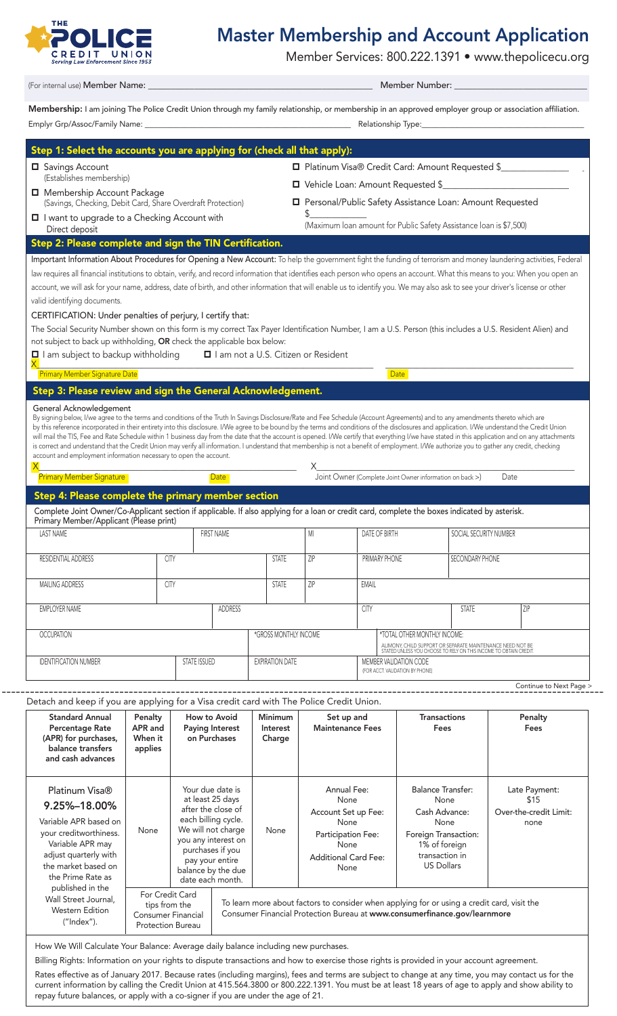

## Master Membership and Account Application

Member Services: 800.222.1391 • www.thepolicecu.org

(For internal use) Member Name: <u>and the set of the set of the set of the set of the set of the set of the set of the set of the set of the set of the set of the set of the set of the set of the set of the set of the set o</u>

Membership: I am joining The Police Credit Union through my family relationship, or membership in an approved employer group or association affiliation. Emplyr Grp/Assoc/Family Name: \_\_\_\_\_\_\_\_\_\_\_\_\_\_\_\_\_\_\_\_\_\_\_\_\_\_\_\_\_\_\_\_\_\_\_\_\_\_\_\_\_\_\_\_\_\_\_ Relationship Type:\_\_\_\_\_\_\_\_\_\_\_\_\_\_\_\_\_\_\_\_\_\_\_\_\_\_\_\_\_\_\_\_\_\_\_\_\_

| (Establishes membership)<br>□ Vehicle Loan: Amount Requested \$<br>Membership Account Package<br>Personal/Public Safety Assistance Loan: Amount Requested<br>(Savings, Checking, Debit Card, Share Overdraft Protection)<br>(Maximum Ioan amount for Public Safety Assistance Ioan is \$7,500)<br>Direct deposit<br>Step 2: Please complete and sign the TIN Certification.<br>Important Information About Procedures for Opening a New Account: To help the government fight the funding of terrorism and money laundering activities, Federal<br>law requires all financial institutions to obtain, verify, and record information that identifies each person who opens an account. What this means to you: When you open an<br>account, we will ask for your name, address, date of birth, and other information that will enable us to identify you. We may also ask to see your driver's license or other<br>valid identifying documents.<br>CERTIFICATION: Under penalties of perjury, I certify that:<br>The Social Security Number shown on this form is my correct Tax Payer Identification Number, I am a U.S. Person (this includes a U.S. Resident Alien) and<br>not subject to back up withholding, OR check the applicable box below:<br>$\Box$ I am subject to backup withholding<br>I I am not a U.S. Citizen or Resident<br><b>Primary Member Signature Date</b><br>Date<br>Step 3: Please review and sign the General Acknowledgement.<br>General Acknowledgement<br>By signing below, I/we agree to the terms and conditions of the Truth In Savings Disclosure/Rate and Fee Schedule (Account Agreements) and to any amendments thereto which are<br>by this reference incorporated in their entirety into this disclosure. I/We agree to be bound by the terms and conditions of the disclosures and application. I/We understand the Credit Union<br>will mail the TIS, Fee and Rate Schedule within 1 business day from the date that the account is opened. I/We certify that everything I/we have stated in this application and on any attachments<br>is correct and understand that the Credit Union may verify all information. I understand that membership is not a benefit of employment. I/We authorize you to gather any credit, checking<br>account and employment information necessary to open the account.<br><b>Primary Member Signature</b><br><b>Date</b><br>Date<br>Step 4: Please complete the primary member section<br>Complete Joint Owner/Co-Applicant section if applicable. If also applying for a loan or credit card, complete the boxes indicated by asterisk.<br>Primary Member/Applicant (Please print)<br><b>FIRST NAME</b><br>M <sub>l</sub><br>SOCIAL SECURITY NUMBER<br><b>LAST NAME</b><br>DATE OF BIRTH<br>CITY<br>ZIP<br>PRIMARY PHONE<br>SECONDARY PHONE<br>RESIDENTIAL ADDRESS<br><b>STATE</b><br>ZIP<br>EMAIL<br>CITY<br><b>STATE</b><br><b>MAILING ADDRESS</b><br>ADDRESS<br><b>EMPLOYER NAME</b><br><b>CITY</b><br><b>STATE</b><br>ZIP<br><b>OCCUPATION</b><br>*GROSS MONTHLY INCOME<br>*TOTAL OTHER MONTHLY INCOME:<br>ALIMONY, CHILD SUPPORT OR SEPARATE MAINTENANCE NEED NOT BE<br>STATED UNLESS YOU CHOOSE TO RELY ON THIS INCOME TO OBTAIN CREDIT.<br><b>IDENTIFICATION NUMBER</b><br>STATE ISSUED<br><b>EXPIRATION DATE</b><br>MEMBER VALIDATION CODE<br>(FOR ACCT. VALIDATION BY PHONE)<br>Detach and keep if you are applying for a Visa credit card with The Police Credit Union.<br><b>Standard Annual</b><br>Penalty<br>How to Avoid<br><b>Minimum</b><br><b>Transactions</b><br>Penalty<br>Set up and<br>APR and<br>Percentage Rate<br><b>Paying Interest</b><br><b>Maintenance Fees</b><br>Fees<br><b>Fees</b><br>Interest<br>When it<br>on Purchases<br>(APR) for purchases,<br>Charge<br>balance transfers<br>applies<br>and cash advances<br><b>Annual Fee:</b><br>Your due date is<br><b>Balance Transfer:</b><br>Late Payment:<br>Platinum Visa®<br>at least 25 days<br>None<br>None<br>\$15<br>9.25%-18.00%<br>after the close of<br>Cash Advance:<br>Account Set up Fee:<br>each billing cycle.<br>Variable APR based on<br>None<br>None<br>none<br>We will not charge<br>None<br>None<br>your creditworthiness.<br>Foreign Transaction:<br>Participation Fee: |                                                |  |  |  |  |  |  | Platinum Visa® Credit Card: Amount Requested \$ |  |                         |  |  |
|------------------------------------------------------------------------------------------------------------------------------------------------------------------------------------------------------------------------------------------------------------------------------------------------------------------------------------------------------------------------------------------------------------------------------------------------------------------------------------------------------------------------------------------------------------------------------------------------------------------------------------------------------------------------------------------------------------------------------------------------------------------------------------------------------------------------------------------------------------------------------------------------------------------------------------------------------------------------------------------------------------------------------------------------------------------------------------------------------------------------------------------------------------------------------------------------------------------------------------------------------------------------------------------------------------------------------------------------------------------------------------------------------------------------------------------------------------------------------------------------------------------------------------------------------------------------------------------------------------------------------------------------------------------------------------------------------------------------------------------------------------------------------------------------------------------------------------------------------------------------------------------------------------------------------------------------------------------------------------------------------------------------------------------------------------------------------------------------------------------------------------------------------------------------------------------------------------------------------------------------------------------------------------------------------------------------------------------------------------------------------------------------------------------------------------------------------------------------------------------------------------------------------------------------------------------------------------------------------------------------------------------------------------------------------------------------------------------------------------------------------------------------------------------------------------------------------------------------------------------------------------------------------------------------------------------------------------------------------------------------------------------------------------------------------------------------------------------------------------------------------------------------------------------------------------------------------------------------------------------------------------------------------------------------------------------------------------------------------------------------------------------------------------------------------------------------------------------------------------------------------------------------------------------------------------------------------------------------------------------------------------------------------------------------------------------------------------------------------------------------------------------------------------------------------------------------------------------------------------------------------------------------------------------------------------------------------------------------------------------------------------------------------------------------------------------------------------------------------------------------------------------------------------------------------------------------------------------------------------------------------|------------------------------------------------|--|--|--|--|--|--|-------------------------------------------------|--|-------------------------|--|--|
|                                                                                                                                                                                                                                                                                                                                                                                                                                                                                                                                                                                                                                                                                                                                                                                                                                                                                                                                                                                                                                                                                                                                                                                                                                                                                                                                                                                                                                                                                                                                                                                                                                                                                                                                                                                                                                                                                                                                                                                                                                                                                                                                                                                                                                                                                                                                                                                                                                                                                                                                                                                                                                                                                                                                                                                                                                                                                                                                                                                                                                                                                                                                                                                                                                                                                                                                                                                                                                                                                                                                                                                                                                                                                                                                                                                                                                                                                                                                                                                                                                                                                                                                                                                                                                                      |                                                |  |  |  |  |  |  |                                                 |  |                         |  |  |
|                                                                                                                                                                                                                                                                                                                                                                                                                                                                                                                                                                                                                                                                                                                                                                                                                                                                                                                                                                                                                                                                                                                                                                                                                                                                                                                                                                                                                                                                                                                                                                                                                                                                                                                                                                                                                                                                                                                                                                                                                                                                                                                                                                                                                                                                                                                                                                                                                                                                                                                                                                                                                                                                                                                                                                                                                                                                                                                                                                                                                                                                                                                                                                                                                                                                                                                                                                                                                                                                                                                                                                                                                                                                                                                                                                                                                                                                                                                                                                                                                                                                                                                                                                                                                                                      | I I want to upgrade to a Checking Account with |  |  |  |  |  |  |                                                 |  |                         |  |  |
|                                                                                                                                                                                                                                                                                                                                                                                                                                                                                                                                                                                                                                                                                                                                                                                                                                                                                                                                                                                                                                                                                                                                                                                                                                                                                                                                                                                                                                                                                                                                                                                                                                                                                                                                                                                                                                                                                                                                                                                                                                                                                                                                                                                                                                                                                                                                                                                                                                                                                                                                                                                                                                                                                                                                                                                                                                                                                                                                                                                                                                                                                                                                                                                                                                                                                                                                                                                                                                                                                                                                                                                                                                                                                                                                                                                                                                                                                                                                                                                                                                                                                                                                                                                                                                                      |                                                |  |  |  |  |  |  |                                                 |  |                         |  |  |
|                                                                                                                                                                                                                                                                                                                                                                                                                                                                                                                                                                                                                                                                                                                                                                                                                                                                                                                                                                                                                                                                                                                                                                                                                                                                                                                                                                                                                                                                                                                                                                                                                                                                                                                                                                                                                                                                                                                                                                                                                                                                                                                                                                                                                                                                                                                                                                                                                                                                                                                                                                                                                                                                                                                                                                                                                                                                                                                                                                                                                                                                                                                                                                                                                                                                                                                                                                                                                                                                                                                                                                                                                                                                                                                                                                                                                                                                                                                                                                                                                                                                                                                                                                                                                                                      |                                                |  |  |  |  |  |  |                                                 |  |                         |  |  |
|                                                                                                                                                                                                                                                                                                                                                                                                                                                                                                                                                                                                                                                                                                                                                                                                                                                                                                                                                                                                                                                                                                                                                                                                                                                                                                                                                                                                                                                                                                                                                                                                                                                                                                                                                                                                                                                                                                                                                                                                                                                                                                                                                                                                                                                                                                                                                                                                                                                                                                                                                                                                                                                                                                                                                                                                                                                                                                                                                                                                                                                                                                                                                                                                                                                                                                                                                                                                                                                                                                                                                                                                                                                                                                                                                                                                                                                                                                                                                                                                                                                                                                                                                                                                                                                      |                                                |  |  |  |  |  |  |                                                 |  |                         |  |  |
|                                                                                                                                                                                                                                                                                                                                                                                                                                                                                                                                                                                                                                                                                                                                                                                                                                                                                                                                                                                                                                                                                                                                                                                                                                                                                                                                                                                                                                                                                                                                                                                                                                                                                                                                                                                                                                                                                                                                                                                                                                                                                                                                                                                                                                                                                                                                                                                                                                                                                                                                                                                                                                                                                                                                                                                                                                                                                                                                                                                                                                                                                                                                                                                                                                                                                                                                                                                                                                                                                                                                                                                                                                                                                                                                                                                                                                                                                                                                                                                                                                                                                                                                                                                                                                                      |                                                |  |  |  |  |  |  |                                                 |  |                         |  |  |
|                                                                                                                                                                                                                                                                                                                                                                                                                                                                                                                                                                                                                                                                                                                                                                                                                                                                                                                                                                                                                                                                                                                                                                                                                                                                                                                                                                                                                                                                                                                                                                                                                                                                                                                                                                                                                                                                                                                                                                                                                                                                                                                                                                                                                                                                                                                                                                                                                                                                                                                                                                                                                                                                                                                                                                                                                                                                                                                                                                                                                                                                                                                                                                                                                                                                                                                                                                                                                                                                                                                                                                                                                                                                                                                                                                                                                                                                                                                                                                                                                                                                                                                                                                                                                                                      |                                                |  |  |  |  |  |  |                                                 |  |                         |  |  |
|                                                                                                                                                                                                                                                                                                                                                                                                                                                                                                                                                                                                                                                                                                                                                                                                                                                                                                                                                                                                                                                                                                                                                                                                                                                                                                                                                                                                                                                                                                                                                                                                                                                                                                                                                                                                                                                                                                                                                                                                                                                                                                                                                                                                                                                                                                                                                                                                                                                                                                                                                                                                                                                                                                                                                                                                                                                                                                                                                                                                                                                                                                                                                                                                                                                                                                                                                                                                                                                                                                                                                                                                                                                                                                                                                                                                                                                                                                                                                                                                                                                                                                                                                                                                                                                      |                                                |  |  |  |  |  |  |                                                 |  |                         |  |  |
|                                                                                                                                                                                                                                                                                                                                                                                                                                                                                                                                                                                                                                                                                                                                                                                                                                                                                                                                                                                                                                                                                                                                                                                                                                                                                                                                                                                                                                                                                                                                                                                                                                                                                                                                                                                                                                                                                                                                                                                                                                                                                                                                                                                                                                                                                                                                                                                                                                                                                                                                                                                                                                                                                                                                                                                                                                                                                                                                                                                                                                                                                                                                                                                                                                                                                                                                                                                                                                                                                                                                                                                                                                                                                                                                                                                                                                                                                                                                                                                                                                                                                                                                                                                                                                                      |                                                |  |  |  |  |  |  |                                                 |  |                         |  |  |
|                                                                                                                                                                                                                                                                                                                                                                                                                                                                                                                                                                                                                                                                                                                                                                                                                                                                                                                                                                                                                                                                                                                                                                                                                                                                                                                                                                                                                                                                                                                                                                                                                                                                                                                                                                                                                                                                                                                                                                                                                                                                                                                                                                                                                                                                                                                                                                                                                                                                                                                                                                                                                                                                                                                                                                                                                                                                                                                                                                                                                                                                                                                                                                                                                                                                                                                                                                                                                                                                                                                                                                                                                                                                                                                                                                                                                                                                                                                                                                                                                                                                                                                                                                                                                                                      |                                                |  |  |  |  |  |  |                                                 |  |                         |  |  |
|                                                                                                                                                                                                                                                                                                                                                                                                                                                                                                                                                                                                                                                                                                                                                                                                                                                                                                                                                                                                                                                                                                                                                                                                                                                                                                                                                                                                                                                                                                                                                                                                                                                                                                                                                                                                                                                                                                                                                                                                                                                                                                                                                                                                                                                                                                                                                                                                                                                                                                                                                                                                                                                                                                                                                                                                                                                                                                                                                                                                                                                                                                                                                                                                                                                                                                                                                                                                                                                                                                                                                                                                                                                                                                                                                                                                                                                                                                                                                                                                                                                                                                                                                                                                                                                      |                                                |  |  |  |  |  |  |                                                 |  |                         |  |  |
|                                                                                                                                                                                                                                                                                                                                                                                                                                                                                                                                                                                                                                                                                                                                                                                                                                                                                                                                                                                                                                                                                                                                                                                                                                                                                                                                                                                                                                                                                                                                                                                                                                                                                                                                                                                                                                                                                                                                                                                                                                                                                                                                                                                                                                                                                                                                                                                                                                                                                                                                                                                                                                                                                                                                                                                                                                                                                                                                                                                                                                                                                                                                                                                                                                                                                                                                                                                                                                                                                                                                                                                                                                                                                                                                                                                                                                                                                                                                                                                                                                                                                                                                                                                                                                                      |                                                |  |  |  |  |  |  |                                                 |  |                         |  |  |
|                                                                                                                                                                                                                                                                                                                                                                                                                                                                                                                                                                                                                                                                                                                                                                                                                                                                                                                                                                                                                                                                                                                                                                                                                                                                                                                                                                                                                                                                                                                                                                                                                                                                                                                                                                                                                                                                                                                                                                                                                                                                                                                                                                                                                                                                                                                                                                                                                                                                                                                                                                                                                                                                                                                                                                                                                                                                                                                                                                                                                                                                                                                                                                                                                                                                                                                                                                                                                                                                                                                                                                                                                                                                                                                                                                                                                                                                                                                                                                                                                                                                                                                                                                                                                                                      |                                                |  |  |  |  |  |  |                                                 |  |                         |  |  |
|                                                                                                                                                                                                                                                                                                                                                                                                                                                                                                                                                                                                                                                                                                                                                                                                                                                                                                                                                                                                                                                                                                                                                                                                                                                                                                                                                                                                                                                                                                                                                                                                                                                                                                                                                                                                                                                                                                                                                                                                                                                                                                                                                                                                                                                                                                                                                                                                                                                                                                                                                                                                                                                                                                                                                                                                                                                                                                                                                                                                                                                                                                                                                                                                                                                                                                                                                                                                                                                                                                                                                                                                                                                                                                                                                                                                                                                                                                                                                                                                                                                                                                                                                                                                                                                      |                                                |  |  |  |  |  |  |                                                 |  |                         |  |  |
|                                                                                                                                                                                                                                                                                                                                                                                                                                                                                                                                                                                                                                                                                                                                                                                                                                                                                                                                                                                                                                                                                                                                                                                                                                                                                                                                                                                                                                                                                                                                                                                                                                                                                                                                                                                                                                                                                                                                                                                                                                                                                                                                                                                                                                                                                                                                                                                                                                                                                                                                                                                                                                                                                                                                                                                                                                                                                                                                                                                                                                                                                                                                                                                                                                                                                                                                                                                                                                                                                                                                                                                                                                                                                                                                                                                                                                                                                                                                                                                                                                                                                                                                                                                                                                                      |                                                |  |  |  |  |  |  |                                                 |  |                         |  |  |
|                                                                                                                                                                                                                                                                                                                                                                                                                                                                                                                                                                                                                                                                                                                                                                                                                                                                                                                                                                                                                                                                                                                                                                                                                                                                                                                                                                                                                                                                                                                                                                                                                                                                                                                                                                                                                                                                                                                                                                                                                                                                                                                                                                                                                                                                                                                                                                                                                                                                                                                                                                                                                                                                                                                                                                                                                                                                                                                                                                                                                                                                                                                                                                                                                                                                                                                                                                                                                                                                                                                                                                                                                                                                                                                                                                                                                                                                                                                                                                                                                                                                                                                                                                                                                                                      |                                                |  |  |  |  |  |  |                                                 |  |                         |  |  |
|                                                                                                                                                                                                                                                                                                                                                                                                                                                                                                                                                                                                                                                                                                                                                                                                                                                                                                                                                                                                                                                                                                                                                                                                                                                                                                                                                                                                                                                                                                                                                                                                                                                                                                                                                                                                                                                                                                                                                                                                                                                                                                                                                                                                                                                                                                                                                                                                                                                                                                                                                                                                                                                                                                                                                                                                                                                                                                                                                                                                                                                                                                                                                                                                                                                                                                                                                                                                                                                                                                                                                                                                                                                                                                                                                                                                                                                                                                                                                                                                                                                                                                                                                                                                                                                      |                                                |  |  |  |  |  |  |                                                 |  |                         |  |  |
|                                                                                                                                                                                                                                                                                                                                                                                                                                                                                                                                                                                                                                                                                                                                                                                                                                                                                                                                                                                                                                                                                                                                                                                                                                                                                                                                                                                                                                                                                                                                                                                                                                                                                                                                                                                                                                                                                                                                                                                                                                                                                                                                                                                                                                                                                                                                                                                                                                                                                                                                                                                                                                                                                                                                                                                                                                                                                                                                                                                                                                                                                                                                                                                                                                                                                                                                                                                                                                                                                                                                                                                                                                                                                                                                                                                                                                                                                                                                                                                                                                                                                                                                                                                                                                                      |                                                |  |  |  |  |  |  |                                                 |  |                         |  |  |
|                                                                                                                                                                                                                                                                                                                                                                                                                                                                                                                                                                                                                                                                                                                                                                                                                                                                                                                                                                                                                                                                                                                                                                                                                                                                                                                                                                                                                                                                                                                                                                                                                                                                                                                                                                                                                                                                                                                                                                                                                                                                                                                                                                                                                                                                                                                                                                                                                                                                                                                                                                                                                                                                                                                                                                                                                                                                                                                                                                                                                                                                                                                                                                                                                                                                                                                                                                                                                                                                                                                                                                                                                                                                                                                                                                                                                                                                                                                                                                                                                                                                                                                                                                                                                                                      |                                                |  |  |  |  |  |  |                                                 |  |                         |  |  |
|                                                                                                                                                                                                                                                                                                                                                                                                                                                                                                                                                                                                                                                                                                                                                                                                                                                                                                                                                                                                                                                                                                                                                                                                                                                                                                                                                                                                                                                                                                                                                                                                                                                                                                                                                                                                                                                                                                                                                                                                                                                                                                                                                                                                                                                                                                                                                                                                                                                                                                                                                                                                                                                                                                                                                                                                                                                                                                                                                                                                                                                                                                                                                                                                                                                                                                                                                                                                                                                                                                                                                                                                                                                                                                                                                                                                                                                                                                                                                                                                                                                                                                                                                                                                                                                      |                                                |  |  |  |  |  |  |                                                 |  |                         |  |  |
|                                                                                                                                                                                                                                                                                                                                                                                                                                                                                                                                                                                                                                                                                                                                                                                                                                                                                                                                                                                                                                                                                                                                                                                                                                                                                                                                                                                                                                                                                                                                                                                                                                                                                                                                                                                                                                                                                                                                                                                                                                                                                                                                                                                                                                                                                                                                                                                                                                                                                                                                                                                                                                                                                                                                                                                                                                                                                                                                                                                                                                                                                                                                                                                                                                                                                                                                                                                                                                                                                                                                                                                                                                                                                                                                                                                                                                                                                                                                                                                                                                                                                                                                                                                                                                                      |                                                |  |  |  |  |  |  |                                                 |  |                         |  |  |
|                                                                                                                                                                                                                                                                                                                                                                                                                                                                                                                                                                                                                                                                                                                                                                                                                                                                                                                                                                                                                                                                                                                                                                                                                                                                                                                                                                                                                                                                                                                                                                                                                                                                                                                                                                                                                                                                                                                                                                                                                                                                                                                                                                                                                                                                                                                                                                                                                                                                                                                                                                                                                                                                                                                                                                                                                                                                                                                                                                                                                                                                                                                                                                                                                                                                                                                                                                                                                                                                                                                                                                                                                                                                                                                                                                                                                                                                                                                                                                                                                                                                                                                                                                                                                                                      |                                                |  |  |  |  |  |  |                                                 |  |                         |  |  |
|                                                                                                                                                                                                                                                                                                                                                                                                                                                                                                                                                                                                                                                                                                                                                                                                                                                                                                                                                                                                                                                                                                                                                                                                                                                                                                                                                                                                                                                                                                                                                                                                                                                                                                                                                                                                                                                                                                                                                                                                                                                                                                                                                                                                                                                                                                                                                                                                                                                                                                                                                                                                                                                                                                                                                                                                                                                                                                                                                                                                                                                                                                                                                                                                                                                                                                                                                                                                                                                                                                                                                                                                                                                                                                                                                                                                                                                                                                                                                                                                                                                                                                                                                                                                                                                      |                                                |  |  |  |  |  |  |                                                 |  |                         |  |  |
|                                                                                                                                                                                                                                                                                                                                                                                                                                                                                                                                                                                                                                                                                                                                                                                                                                                                                                                                                                                                                                                                                                                                                                                                                                                                                                                                                                                                                                                                                                                                                                                                                                                                                                                                                                                                                                                                                                                                                                                                                                                                                                                                                                                                                                                                                                                                                                                                                                                                                                                                                                                                                                                                                                                                                                                                                                                                                                                                                                                                                                                                                                                                                                                                                                                                                                                                                                                                                                                                                                                                                                                                                                                                                                                                                                                                                                                                                                                                                                                                                                                                                                                                                                                                                                                      |                                                |  |  |  |  |  |  |                                                 |  |                         |  |  |
|                                                                                                                                                                                                                                                                                                                                                                                                                                                                                                                                                                                                                                                                                                                                                                                                                                                                                                                                                                                                                                                                                                                                                                                                                                                                                                                                                                                                                                                                                                                                                                                                                                                                                                                                                                                                                                                                                                                                                                                                                                                                                                                                                                                                                                                                                                                                                                                                                                                                                                                                                                                                                                                                                                                                                                                                                                                                                                                                                                                                                                                                                                                                                                                                                                                                                                                                                                                                                                                                                                                                                                                                                                                                                                                                                                                                                                                                                                                                                                                                                                                                                                                                                                                                                                                      |                                                |  |  |  |  |  |  |                                                 |  |                         |  |  |
|                                                                                                                                                                                                                                                                                                                                                                                                                                                                                                                                                                                                                                                                                                                                                                                                                                                                                                                                                                                                                                                                                                                                                                                                                                                                                                                                                                                                                                                                                                                                                                                                                                                                                                                                                                                                                                                                                                                                                                                                                                                                                                                                                                                                                                                                                                                                                                                                                                                                                                                                                                                                                                                                                                                                                                                                                                                                                                                                                                                                                                                                                                                                                                                                                                                                                                                                                                                                                                                                                                                                                                                                                                                                                                                                                                                                                                                                                                                                                                                                                                                                                                                                                                                                                                                      |                                                |  |  |  |  |  |  |                                                 |  |                         |  |  |
|                                                                                                                                                                                                                                                                                                                                                                                                                                                                                                                                                                                                                                                                                                                                                                                                                                                                                                                                                                                                                                                                                                                                                                                                                                                                                                                                                                                                                                                                                                                                                                                                                                                                                                                                                                                                                                                                                                                                                                                                                                                                                                                                                                                                                                                                                                                                                                                                                                                                                                                                                                                                                                                                                                                                                                                                                                                                                                                                                                                                                                                                                                                                                                                                                                                                                                                                                                                                                                                                                                                                                                                                                                                                                                                                                                                                                                                                                                                                                                                                                                                                                                                                                                                                                                                      |                                                |  |  |  |  |  |  |                                                 |  |                         |  |  |
|                                                                                                                                                                                                                                                                                                                                                                                                                                                                                                                                                                                                                                                                                                                                                                                                                                                                                                                                                                                                                                                                                                                                                                                                                                                                                                                                                                                                                                                                                                                                                                                                                                                                                                                                                                                                                                                                                                                                                                                                                                                                                                                                                                                                                                                                                                                                                                                                                                                                                                                                                                                                                                                                                                                                                                                                                                                                                                                                                                                                                                                                                                                                                                                                                                                                                                                                                                                                                                                                                                                                                                                                                                                                                                                                                                                                                                                                                                                                                                                                                                                                                                                                                                                                                                                      |                                                |  |  |  |  |  |  |                                                 |  |                         |  |  |
|                                                                                                                                                                                                                                                                                                                                                                                                                                                                                                                                                                                                                                                                                                                                                                                                                                                                                                                                                                                                                                                                                                                                                                                                                                                                                                                                                                                                                                                                                                                                                                                                                                                                                                                                                                                                                                                                                                                                                                                                                                                                                                                                                                                                                                                                                                                                                                                                                                                                                                                                                                                                                                                                                                                                                                                                                                                                                                                                                                                                                                                                                                                                                                                                                                                                                                                                                                                                                                                                                                                                                                                                                                                                                                                                                                                                                                                                                                                                                                                                                                                                                                                                                                                                                                                      |                                                |  |  |  |  |  |  |                                                 |  |                         |  |  |
|                                                                                                                                                                                                                                                                                                                                                                                                                                                                                                                                                                                                                                                                                                                                                                                                                                                                                                                                                                                                                                                                                                                                                                                                                                                                                                                                                                                                                                                                                                                                                                                                                                                                                                                                                                                                                                                                                                                                                                                                                                                                                                                                                                                                                                                                                                                                                                                                                                                                                                                                                                                                                                                                                                                                                                                                                                                                                                                                                                                                                                                                                                                                                                                                                                                                                                                                                                                                                                                                                                                                                                                                                                                                                                                                                                                                                                                                                                                                                                                                                                                                                                                                                                                                                                                      |                                                |  |  |  |  |  |  |                                                 |  |                         |  |  |
|                                                                                                                                                                                                                                                                                                                                                                                                                                                                                                                                                                                                                                                                                                                                                                                                                                                                                                                                                                                                                                                                                                                                                                                                                                                                                                                                                                                                                                                                                                                                                                                                                                                                                                                                                                                                                                                                                                                                                                                                                                                                                                                                                                                                                                                                                                                                                                                                                                                                                                                                                                                                                                                                                                                                                                                                                                                                                                                                                                                                                                                                                                                                                                                                                                                                                                                                                                                                                                                                                                                                                                                                                                                                                                                                                                                                                                                                                                                                                                                                                                                                                                                                                                                                                                                      |                                                |  |  |  |  |  |  |                                                 |  |                         |  |  |
|                                                                                                                                                                                                                                                                                                                                                                                                                                                                                                                                                                                                                                                                                                                                                                                                                                                                                                                                                                                                                                                                                                                                                                                                                                                                                                                                                                                                                                                                                                                                                                                                                                                                                                                                                                                                                                                                                                                                                                                                                                                                                                                                                                                                                                                                                                                                                                                                                                                                                                                                                                                                                                                                                                                                                                                                                                                                                                                                                                                                                                                                                                                                                                                                                                                                                                                                                                                                                                                                                                                                                                                                                                                                                                                                                                                                                                                                                                                                                                                                                                                                                                                                                                                                                                                      |                                                |  |  |  |  |  |  |                                                 |  |                         |  |  |
|                                                                                                                                                                                                                                                                                                                                                                                                                                                                                                                                                                                                                                                                                                                                                                                                                                                                                                                                                                                                                                                                                                                                                                                                                                                                                                                                                                                                                                                                                                                                                                                                                                                                                                                                                                                                                                                                                                                                                                                                                                                                                                                                                                                                                                                                                                                                                                                                                                                                                                                                                                                                                                                                                                                                                                                                                                                                                                                                                                                                                                                                                                                                                                                                                                                                                                                                                                                                                                                                                                                                                                                                                                                                                                                                                                                                                                                                                                                                                                                                                                                                                                                                                                                                                                                      |                                                |  |  |  |  |  |  |                                                 |  | Continue to Next Page > |  |  |
|                                                                                                                                                                                                                                                                                                                                                                                                                                                                                                                                                                                                                                                                                                                                                                                                                                                                                                                                                                                                                                                                                                                                                                                                                                                                                                                                                                                                                                                                                                                                                                                                                                                                                                                                                                                                                                                                                                                                                                                                                                                                                                                                                                                                                                                                                                                                                                                                                                                                                                                                                                                                                                                                                                                                                                                                                                                                                                                                                                                                                                                                                                                                                                                                                                                                                                                                                                                                                                                                                                                                                                                                                                                                                                                                                                                                                                                                                                                                                                                                                                                                                                                                                                                                                                                      |                                                |  |  |  |  |  |  |                                                 |  |                         |  |  |
|                                                                                                                                                                                                                                                                                                                                                                                                                                                                                                                                                                                                                                                                                                                                                                                                                                                                                                                                                                                                                                                                                                                                                                                                                                                                                                                                                                                                                                                                                                                                                                                                                                                                                                                                                                                                                                                                                                                                                                                                                                                                                                                                                                                                                                                                                                                                                                                                                                                                                                                                                                                                                                                                                                                                                                                                                                                                                                                                                                                                                                                                                                                                                                                                                                                                                                                                                                                                                                                                                                                                                                                                                                                                                                                                                                                                                                                                                                                                                                                                                                                                                                                                                                                                                                                      |                                                |  |  |  |  |  |  |                                                 |  |                         |  |  |
| you any interest on<br>Variable APR may<br>None<br>1% of foreign<br>purchases if you                                                                                                                                                                                                                                                                                                                                                                                                                                                                                                                                                                                                                                                                                                                                                                                                                                                                                                                                                                                                                                                                                                                                                                                                                                                                                                                                                                                                                                                                                                                                                                                                                                                                                                                                                                                                                                                                                                                                                                                                                                                                                                                                                                                                                                                                                                                                                                                                                                                                                                                                                                                                                                                                                                                                                                                                                                                                                                                                                                                                                                                                                                                                                                                                                                                                                                                                                                                                                                                                                                                                                                                                                                                                                                                                                                                                                                                                                                                                                                                                                                                                                                                                                                 |                                                |  |  |  |  |  |  |                                                 |  | Over-the-credit Limit:  |  |  |

To learn more about factors to consider when applying for or using a credit card, visit the Consumer Financial Protection Bureau at www.consumerfinance.gov/learnmore Wall Street Journal, Western Edition ("Index"). For Credit Card tips from the Consumer Financial Protection Bureau

Additional Card Fee: None

transaction in US Dollars

How We Will Calculate Your Balance: Average daily balance including new purchases.

pay your entire balance by the due date each month.

adjust quarterly with the market based on the Prime Rate as published in the

Billing Rights: Information on your rights to dispute transactions and how to exercise those rights is provided in your account agreement.

Rates effective as of January 2017. Because rates (including margins), fees and terms are subject to change at any time, you may contact us for the current information by calling the Credit Union at 415.564.3800 or 800.222.1391. You must be at least 18 years of age to apply and show ability to repay future balances, or apply with a co-signer if you are under the age of 21.